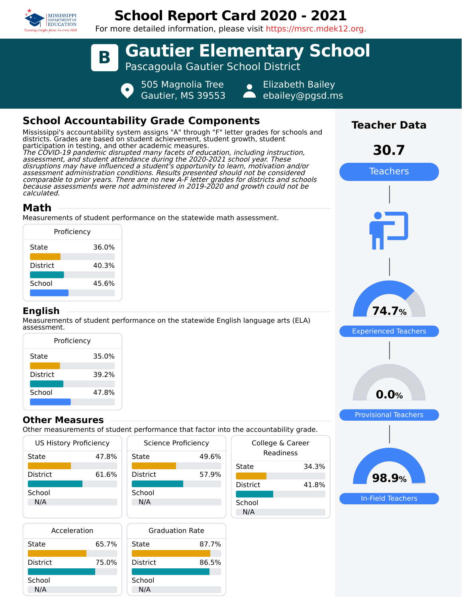

calculated.

**English**

**Math**

# **School Report Card 2020 - 2021**

For more detailed information, please visit https://msrc.mdek12.org.



| US History Proficiency |       |   |  |
|------------------------|-------|---|--|
| State                  | 47.8% | S |  |
|                        |       |   |  |
| District               | 61.6% |   |  |
|                        |       |   |  |
| School                 |       |   |  |
| N/A                    |       |   |  |
|                        |       |   |  |

| Science Proficiency |       |  |  |  |  |
|---------------------|-------|--|--|--|--|
| State               | 49.6% |  |  |  |  |
| <b>District</b>     | 57.9% |  |  |  |  |
| School              |       |  |  |  |  |
| N/A                 |       |  |  |  |  |

| Acceleration    |       |   |  |
|-----------------|-------|---|--|
| State           | 65.7% | S |  |
| <b>District</b> | 75.0% |   |  |
| School          |       | S |  |
| N/A             |       |   |  |



|                               | $rac{1}{2}$ |  |  |  |  |
|-------------------------------|-------------|--|--|--|--|
| College & Career<br>Readiness |             |  |  |  |  |
| State                         | 34.3%       |  |  |  |  |
| <b>District</b>               | 41.8%       |  |  |  |  |
| School<br>N/A                 |             |  |  |  |  |